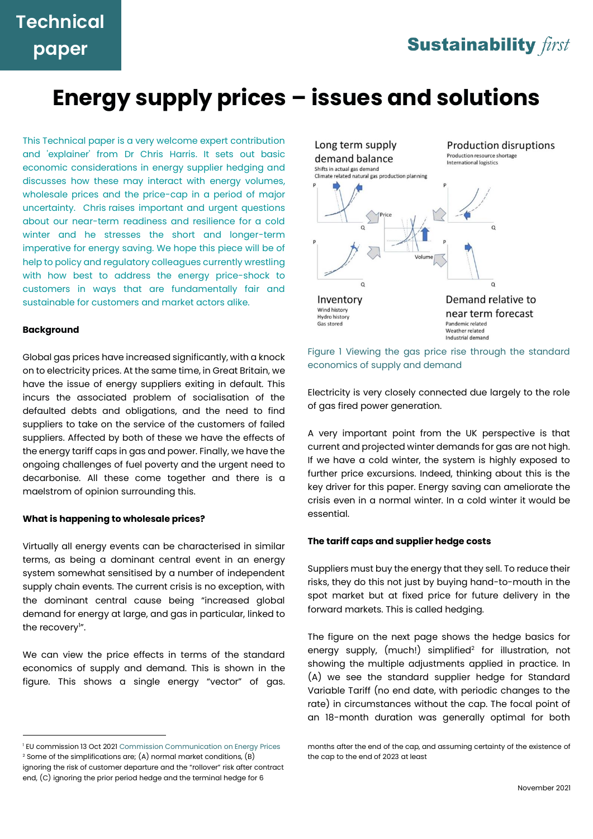# **Energy supply prices – issues and solutions**

This Technical paper is a very welcome expert contribution and 'explainer' from Dr Chris Harris. It sets out basic economic considerations in energy supplier hedging and discusses how these may interact with energy volumes, wholesale prices and the price-cap in a period of major uncertainty. Chris raises important and urgent questions about our near-term readiness and resilience for a cold winter and he stresses the short and longer-term imperative for energy saving. We hope this piece will be of help to policy and regulatory colleagues currently wrestling with how best to address the energy price-shock to customers in ways that are fundamentally fair and sustainable for customers and market actors alike.

#### **Background**

Global gas prices have increased significantly, with a knock on to electricity prices. At the same time, in Great Britain, we have the issue of energy suppliers exiting in default. This incurs the associated problem of socialisation of the defaulted debts and obligations, and the need to find suppliers to take on the service of the customers of failed suppliers. Affected by both of these we have the effects of the energy tariff caps in gas and power. Finally, we have the ongoing challenges of fuel poverty and the urgent need to decarbonise. All these come together and there is a maelstrom of opinion surrounding this.

#### **What is happening to wholesale prices?**

Virtually all energy events can be characterised in similar terms, as being a dominant central event in an energy system somewhat sensitised by a number of independent supply chain events. The current crisis is no exception, with the dominant central cause being "increased global demand for energy at large, and gas in particular, linked to the recovery<sup>1</sup>".

We can view the price effects in terms of the standard economics of supply and demand. This is shown in the figure. This shows a single energy "vector" of gas.



#### Figure 1 Viewing the gas price rise through the standard economics of supply and demand

Electricity is very closely connected due largely to the role of gas fired power generation.

A very important point from the UK perspective is that current and projected winter demands for gas are not high. If we have a cold winter, the system is highly exposed to further price excursions. Indeed, thinking about this is the key driver for this paper. Energy saving can ameliorate the crisis even in a normal winter. In a cold winter it would be essential.

#### **The tariff caps and supplier hedge costs**

Suppliers must buy the energy that they sell. To reduce their risks, they do this not just by buying hand-to-mouth in the spot market but at fixed price for future delivery in the forward markets. This is called hedging.

The figure on the next page shows the hedge basics for energy supply, (much!) simplified<sup>2</sup> for illustration, not showing the multiple adjustments applied in practice. In (A) we see the standard supplier hedge for Standard Variable Tariff (no end date, with periodic changes to the rate) in circumstances without the cap. The focal point of an 18-month duration was generally optimal for both

<sup>&</sup>lt;sup>1</sup> EU commission 13 Oct 2021 Commission Communication on Energy Prices  $2$  Some of the simplifications are; (A) normal market conditions, (B) ignoring the risk of customer departure and the "rollover" risk after contract end, (C) ignoring the prior period hedge and the terminal hedge for 6

months after the end of the cap, and assuming certainty of the existence of the cap to the end of 2023 at least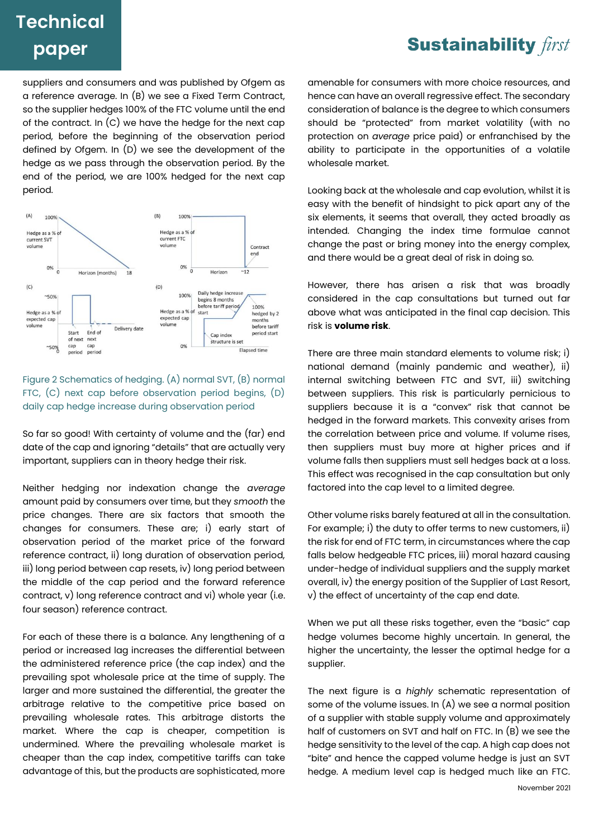### **Sustainability first**

suppliers and consumers and was published by Ofgem as a reference average. In (B) we see a Fixed Term Contract, so the supplier hedges 100% of the FTC volume until the end of the contract. In (C) we have the hedge for the next cap period, before the beginning of the observation period defined by Ofgem. In (D) we see the development of the hedge as we pass through the observation period. By the end of the period, we are 100% hedged for the next cap period.



Figure 2 Schematics of hedging. (A) normal SVT, (B) normal FTC, (C) next cap before observation period begins, (D) daily cap hedge increase during observation period

So far so good! With certainty of volume and the (far) end date of the cap and ignoring "details" that are actually very important, suppliers can in theory hedge their risk.

Neither hedging nor indexation change the *average* amount paid by consumers over time, but they *smooth* the price changes. There are six factors that smooth the changes for consumers. These are; i) early start of observation period of the market price of the forward reference contract, ii) long duration of observation period, iii) long period between cap resets, iv) long period between the middle of the cap period and the forward reference contract, v) long reference contract and vi) whole year (i.e. four season) reference contract.

For each of these there is a balance. Any lengthening of a period or increased lag increases the differential between the administered reference price (the cap index) and the prevailing spot wholesale price at the time of supply. The larger and more sustained the differential, the greater the arbitrage relative to the competitive price based on prevailing wholesale rates. This arbitrage distorts the market. Where the cap is cheaper, competition is undermined. Where the prevailing wholesale market is cheaper than the cap index, competitive tariffs can take advantage of this, but the products are sophisticated, more amenable for consumers with more choice resources, and hence can have an overall regressive effect. The secondary consideration of balance is the degree to which consumers should be "protected" from market volatility (with no protection on *average* price paid) or enfranchised by the ability to participate in the opportunities of a volatile wholesale market.

Looking back at the wholesale and cap evolution, whilst it is easy with the benefit of hindsight to pick apart any of the six elements, it seems that overall, they acted broadly as intended. Changing the index time formulae cannot change the past or bring money into the energy complex, and there would be a great deal of risk in doing so.

However, there has arisen a risk that was broadly considered in the cap consultations but turned out far above what was anticipated in the final cap decision. This risk is **volume risk**.

There are three main standard elements to volume risk; i) national demand (mainly pandemic and weather), ii) internal switching between FTC and SVT, iii) switching between suppliers. This risk is particularly pernicious to suppliers because it is a "convex" risk that cannot be hedged in the forward markets. This convexity arises from the correlation between price and volume. If volume rises, then suppliers must buy more at higher prices and if volume falls then suppliers must sell hedges back at a loss. This effect was recognised in the cap consultation but only factored into the cap level to a limited degree.

Other volume risks barely featured at all in the consultation. For example; i) the duty to offer terms to new customers, ii) the risk for end of FTC term, in circumstances where the cap falls below hedgeable FTC prices, iii) moral hazard causing under-hedge of individual suppliers and the supply market overall, iv) the energy position of the Supplier of Last Resort, v) the effect of uncertainty of the cap end date.

When we put all these risks together, even the "basic" cap hedge volumes become highly uncertain. In general, the higher the uncertainty, the lesser the optimal hedge for a supplier.

The next figure is a *highly* schematic representation of some of the volume issues. In (A) we see a normal position of a supplier with stable supply volume and approximately half of customers on SVT and half on FTC. In (B) we see the hedge sensitivity to the level of the cap. A high cap does not "bite" and hence the capped volume hedge is just an SVT hedge. A medium level cap is hedged much like an FTC.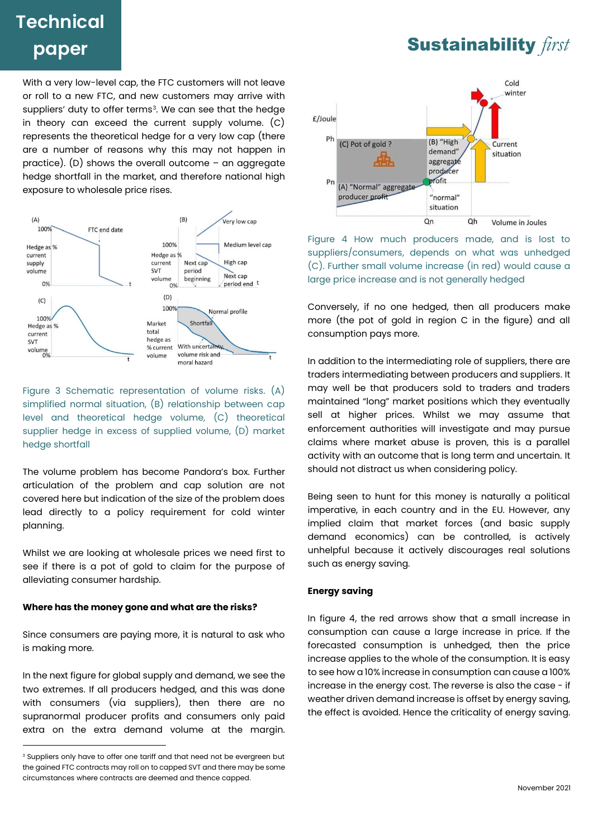With a very low-level cap, the FTC customers will not leave or roll to a new FTC, and new customers may arrive with suppliers' duty to offer terms<sup>3</sup>. We can see that the hedge in theory can exceed the current supply volume. (C) represents the theoretical hedge for a very low cap (there are a number of reasons why this may not happen in practice). (D) shows the overall outcome – an aggregate hedge shortfall in the market, and therefore national high exposure to wholesale price rises.



Figure 3 Schematic representation of volume risks. (A) simplified normal situation, (B) relationship between cap level and theoretical hedge volume, (C) theoretical supplier hedge in excess of supplied volume, (D) market hedge shortfall

The volume problem has become Pandora's box. Further articulation of the problem and cap solution are not covered here but indication of the size of the problem does lead directly to a policy requirement for cold winter planning.

Whilst we are looking at wholesale prices we need first to see if there is a pot of gold to claim for the purpose of alleviating consumer hardship.

#### **Where has the money gone and what are the risks?**

Since consumers are paying more, it is natural to ask who is making more.

In the next figure for global supply and demand, we see the two extremes. If all producers hedged, and this was done with consumers (via suppliers), then there are no supranormal producer profits and consumers only paid extra on the extra demand volume at the margin.



Figure 4 How much producers made, and is lost to suppliers/consumers, depends on what was unhedged (C). Further small volume increase (in red) would cause a large price increase and is not generally hedged

Conversely, if no one hedged, then all producers make more (the pot of gold in region C in the figure) and all consumption pays more.

In addition to the intermediating role of suppliers, there are traders intermediating between producers and suppliers. It may well be that producers sold to traders and traders maintained "long" market positions which they eventually sell at higher prices. Whilst we may assume that enforcement authorities will investigate and may pursue claims where market abuse is proven, this is a parallel activity with an outcome that is long term and uncertain. It should not distract us when considering policy.

Being seen to hunt for this money is naturally a political imperative, in each country and in the EU. However, any implied claim that market forces (and basic supply demand economics) can be controlled, is actively unhelpful because it actively discourages real solutions such as energy saving.

#### **Energy saving**

In figure 4, the red arrows show that a small increase in consumption can cause a large increase in price. If the forecasted consumption is unhedged, then the price increase applies to the whole of the consumption. It is easy to see how a 10% increase in consumption can cause a 100% increase in the energy cost. The reverse is also the case - if weather driven demand increase is offset by energy saving, the effect is avoided. Hence the criticality of energy saving.

# **Sustainability** first

<sup>&</sup>lt;sup>3</sup> Suppliers only have to offer one tariff and that need not be evergreen but the gained FTC contracts may roll on to capped SVT and there may be some circumstances where contracts are deemed and thence capped.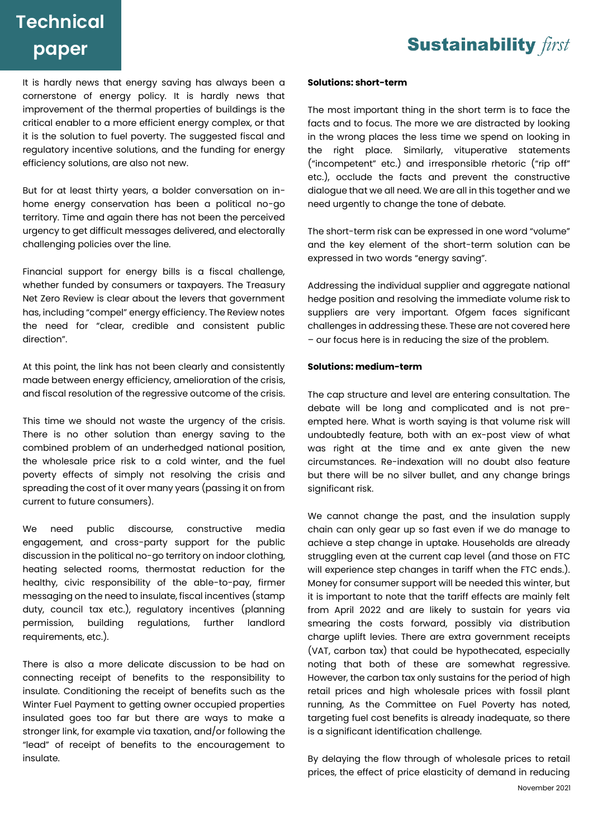### **Sustainability** first

# **Technical paper**

It is hardly news that energy saving has always been a cornerstone of energy policy. It is hardly news that improvement of the thermal properties of buildings is the critical enabler to a more efficient energy complex, or that it is the solution to fuel poverty. The suggested fiscal and regulatory incentive solutions, and the funding for energy efficiency solutions, are also not new.

But for at least thirty years, a bolder conversation on inhome energy conservation has been a political no-go territory. Time and again there has not been the perceived urgency to get difficult messages delivered, and electorally challenging policies over the line.

Financial support for energy bills is a fiscal challenge, whether funded by consumers or taxpayers. The Treasury Net Zero Review is clear about the levers that government has, including "compel" energy efficiency. The Review notes the need for "clear, credible and consistent public direction".

At this point, the link has not been clearly and consistently made between energy efficiency, amelioration of the crisis, and fiscal resolution of the regressive outcome of the crisis.

This time we should not waste the urgency of the crisis. There is no other solution than energy saving to the combined problem of an underhedged national position, the wholesale price risk to a cold winter, and the fuel poverty effects of simply not resolving the crisis and spreading the cost of it over many years (passing it on from current to future consumers).

We need public discourse, constructive media engagement, and cross-party support for the public discussion in the political no-go territory on indoor clothing, heating selected rooms, thermostat reduction for the healthy, civic responsibility of the able-to-pay, firmer messaging on the need to insulate, fiscal incentives (stamp duty, council tax etc.), regulatory incentives (planning permission, building regulations, further landlord requirements, etc.).

There is also a more delicate discussion to be had on connecting receipt of benefits to the responsibility to insulate. Conditioning the receipt of benefits such as the Winter Fuel Payment to getting owner occupied properties insulated goes too far but there are ways to make a stronger link, for example via taxation, and/or following the "lead" of receipt of benefits to the encouragement to insulate.

#### **Solutions: short-term**

The most important thing in the short term is to face the facts and to focus. The more we are distracted by looking in the wrong places the less time we spend on looking in the right place. Similarly, vituperative statements ("incompetent" etc.) and irresponsible rhetoric ("rip off" etc.), occlude the facts and prevent the constructive dialogue that we all need. We are all in this together and we need urgently to change the tone of debate.

The short-term risk can be expressed in one word "volume" and the key element of the short-term solution can be expressed in two words "energy saving".

Addressing the individual supplier and aggregate national hedge position and resolving the immediate volume risk to suppliers are very important. Ofgem faces significant challenges in addressing these. These are not covered here – our focus here is in reducing the size of the problem.

#### **Solutions: medium-term**

The cap structure and level are entering consultation. The debate will be long and complicated and is not preempted here. What is worth saying is that volume risk will undoubtedly feature, both with an ex-post view of what was right at the time and ex ante given the new circumstances. Re-indexation will no doubt also feature but there will be no silver bullet, and any change brings sianificant risk.

We cannot change the past, and the insulation supply chain can only gear up so fast even if we do manage to achieve a step change in uptake. Households are already struggling even at the current cap level (and those on FTC will experience step changes in tariff when the FTC ends.). Money for consumer support will be needed this winter, but it is important to note that the tariff effects are mainly felt from April 2022 and are likely to sustain for years via smearing the costs forward, possibly via distribution charge uplift levies. There are extra government receipts (VAT, carbon tax) that could be hypothecated, especially noting that both of these are somewhat regressive. However, the carbon tax only sustains for the period of high retail prices and high wholesale prices with fossil plant running, As the Committee on Fuel Poverty has noted, targeting fuel cost benefits is already inadequate, so there is a significant identification challenge.

By delaying the flow through of wholesale prices to retail prices, the effect of price elasticity of demand in reducing